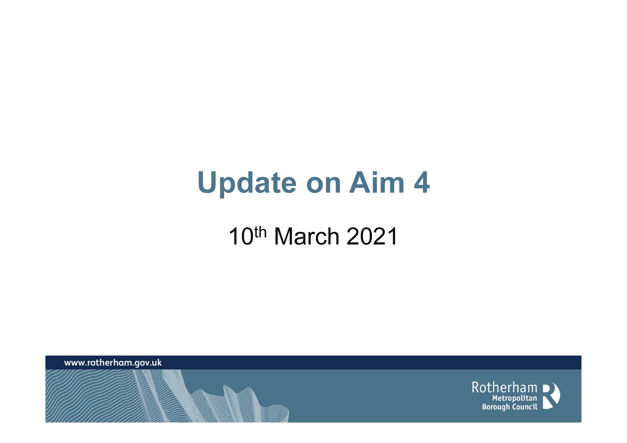#### Update on Aim 4

#### 10th March 2021

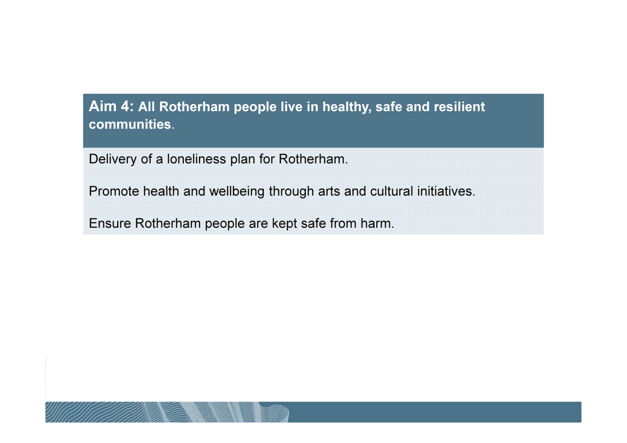#### Aim 4: All Rotherham people live in healthy, safe and resilient communities.

Delivery of a loneliness plan for Rotherham.

Promote health and wellbeing through arts and cultural initiatives.

Ensure Rotherham people are kept safe from harm.

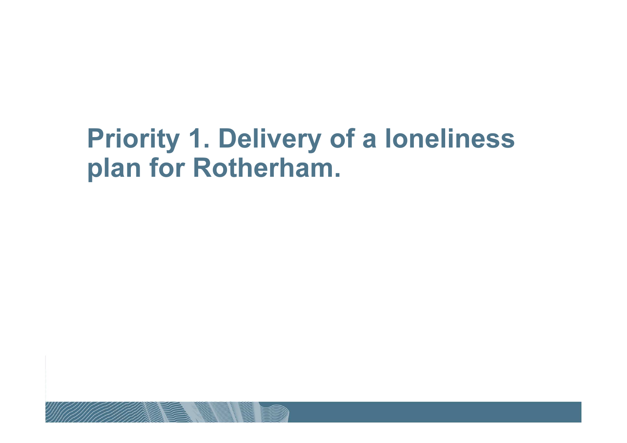#### Priority 1. Delivery of a loneliness plan for Rotherham.

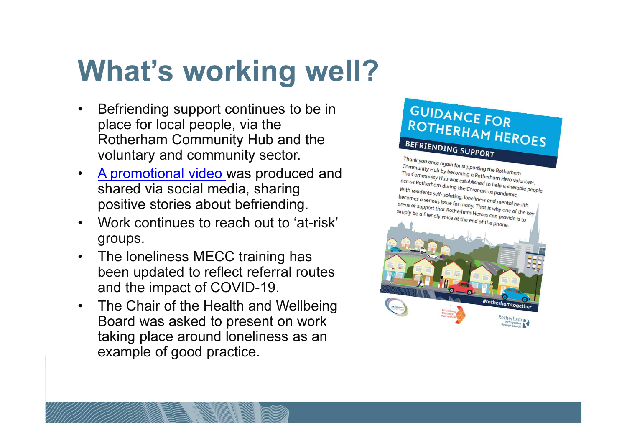# What's working well?

- • Befriending support continues to be in place for local people, via the Rotherham Community Hub and the voluntary and community sector.
- $\bullet$ A promotional video was produced and shared via social media, sharing positive stories about befriending.
- • Work continues to reach out to 'at-risk' groups.
- $\bullet$  The loneliness MECC training has been updated to reflect referral routes and the impact of COVID-19.
- $\bullet$  The Chair of the Health and Wellbeing Board was asked to present on work taking place around loneliness as an example of good practice.

#### **GUIDANCE FOR** ROTHERHAM HEROES BEFRIENDING SUPPORT

Thank you once again for supporting the Rotherham<br>Community Hub by becoming a Rotherham<br>The Community U.V. Community Hub by becoming a Rotherham<br>The Community Hub by becoming a Rotherham Hero volunteer.<br>Accross Rotherham during the Gadblished to help vulnerable. The Community Hub by becoming a Rotherham<br>The Community Hub was established to help vulnerable<br>across Rotherham during the Coronavirus pandemic<br>With residents self-isolation and an analysis pandemic examing Hub was established to help vulneral<br>Actoss Rotherham during the Coronavirus pandemic.<br>With residents self-isolating, loneliness With residents self-isolating the Coronavirus pandemic.<br>becomes a serious issue for many. That is why one self-<br>areas of support that peat. becomes a serious issue for many. That is why one of the key<br>simply be a friendly voice of the Rotherham, Heroes can provide it is why the difference of support that Rotherham Heroes can provide it is key a serious issue for many. That is why one of the k<br>areas of support that Rotherham Heroes can provide is to<br>simply be a friendly voice at the end of the phone simply be a friendly voice at the end of the phone. #rotherhamtogethe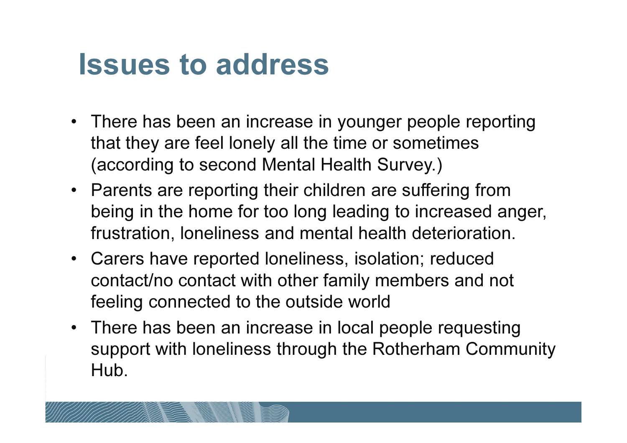#### Issues to address

- There has been an increase in younger people reportingthat they are feel lonely all the time or sometimes (according to second Mental Health Survey.)
- Parents are reporting their children are suffering from being in the home for too long leading to increased anger, frustration, loneliness and mental health deterioration.
- Carers have reported loneliness, isolation; reduced contact/no contact with other family members and not feeling connected to the outside world
- There has been an increase in local people requesting support with loneliness through the Rotherham Community Hub.

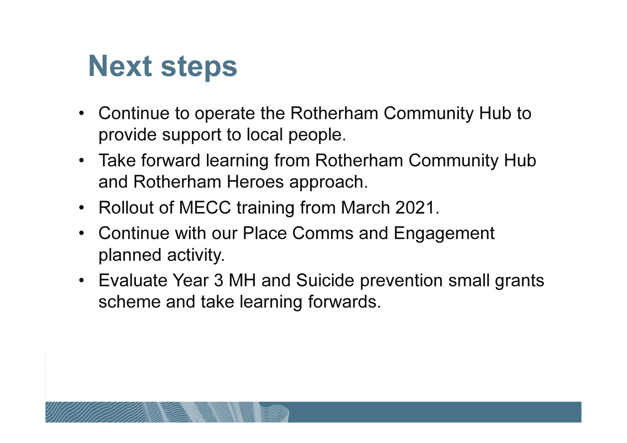## Next steps

- Continue to operate the Rotherham Community Hub to provide support to local people.
- Take forward learning from Rotherham Community Hub and Rotherham Heroes approach.
- Rollout of MECC training from March 2021.
- Continue with our Place Comms and Engagement planned activity.
- Evaluate Year 3 MH and Suicide prevention small grants scheme and take learning forwards.

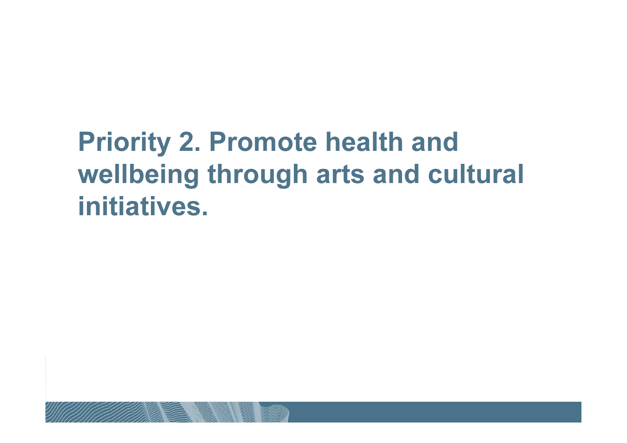#### Priority 2. Promote health and wellbeing through arts and cultural initiatives.

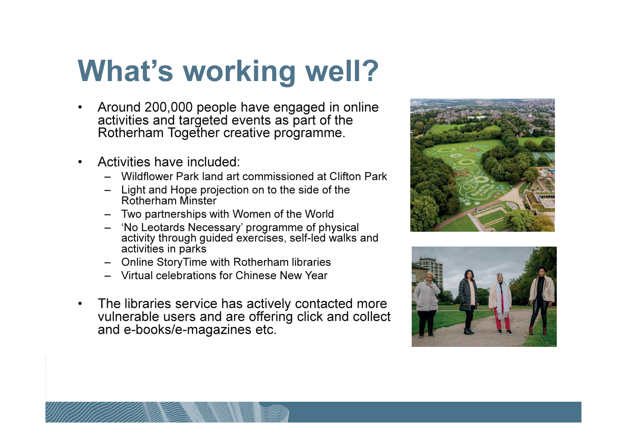# What's working well?

- $\bullet$  Around 200,000 people have engaged in online activities and targeted events as part of the Rotherham Together creative programme.
- • Activities have included:
	- Wildflower Park land art commissioned at Clifton Park
	- Light and Hope projection on to the side of the Rotherham Minster
	- Two partnerships with Women of the World
	- 'No Leotards Necessary' programme of physical activity through guided exercises, self-led walks and activities in parks
	- Online StoryTime with Rotherham libraries
	- Virtual celebrations for Chinese New Year
- $\bullet$  The libraries service has actively contacted more vulnerable users and are offering click and collect and e-books/e-magazines etc.



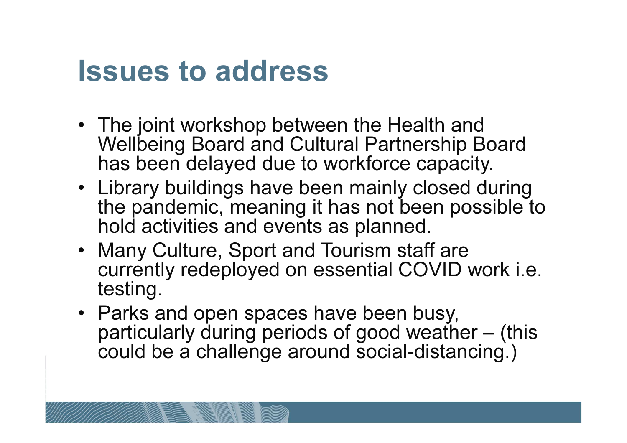#### Issues to address

- The joint workshop between the Health and Wellbeing Board and Cultural Partnership Board has been delayed due to workforce capacity.
- Library buildings have been mainly closed during the pandemic, meaning it has not been possible to hold activities and events as planned.
- Many Culture, Sport and Tourism staff are currently redeployed on essential COVID work i.e. testing.
- Parks and open spaces have been busy, particularly during periods of good weather – (this could be a challenge around social-distancing.)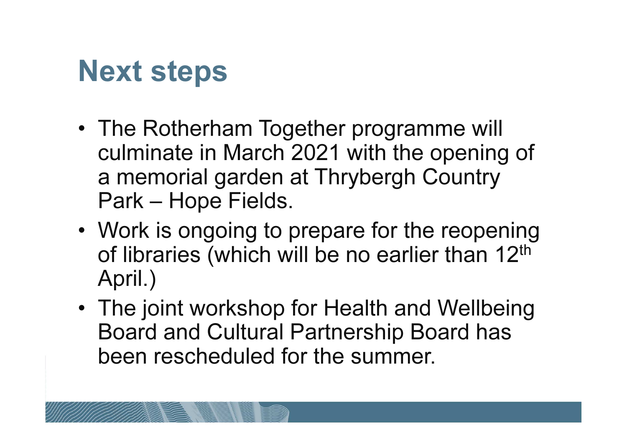### Next steps

- The Rotherham Together programme will culminate in March 2021 with the opening of a memorial garden at Thrybergh Country Park – Hope Fields.
- Work is ongoing to prepare for the reopening of libraries (which will be no earlier than 12<sup>th</sup> April.)
- The joint workshop for Health and Wellbeing Board and Cultural Partnership Board has been rescheduled for the summer.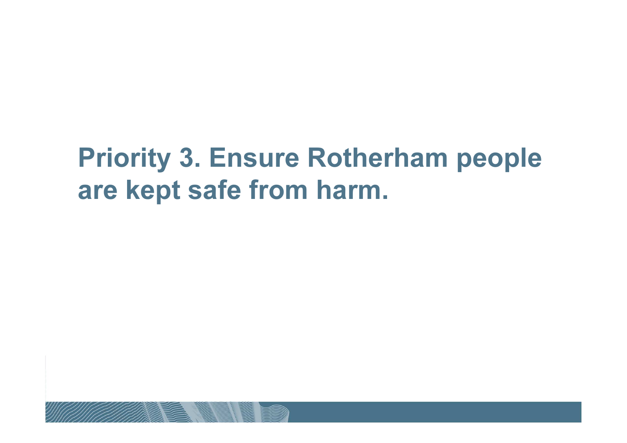#### Priority 3. Ensure Rotherham people are kept safe from harm.

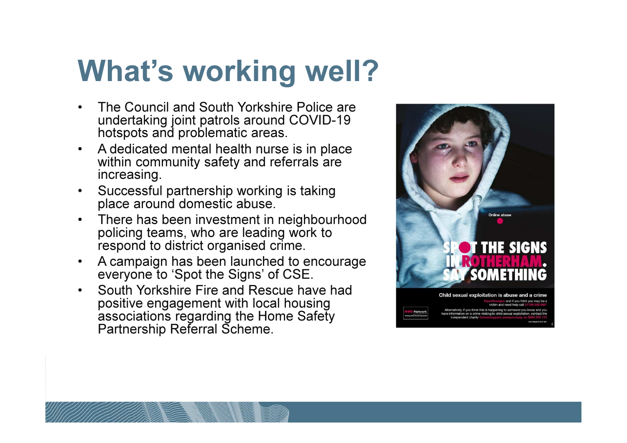## What's working well?

- • The Council and South Yorkshire Police are undertaking joint patrols around COVID-19 hotspots and problematic areas.
- $\bullet$  A dedicated mental health nurse is in place within community safety and referrals are increasing.
- Successful partnership working is taking  $\bullet$ place around domestic abuse.
- • There has been investment in neighbourhood policing teams, who are leading work to respond to district organised crime.
- A campaign has been launched to encourage •everyone to 'Spot the Signs' of CSE.
- • South Yorkshire Fire and Rescue have had positive engagement with local housing associations regarding the Home Safety Partnership Referral Scheme.

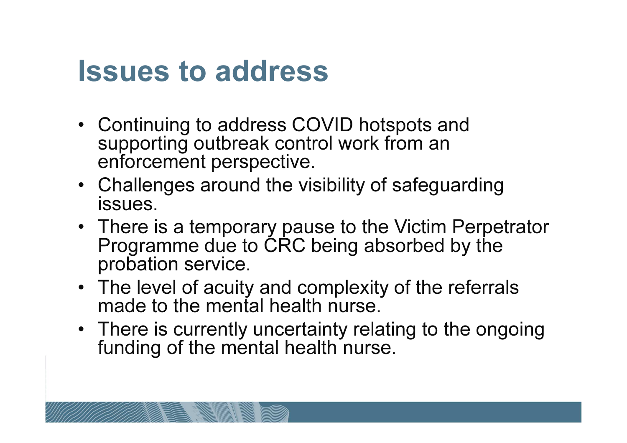#### Issues to address

- Continuing to address COVID hotspots and supporting outbreak control work from an enforcement perspective.
- Challenges around the visibility of safeguarding issues.
- There is a temporary pause to the Victim Perpetrator Programme due to CRC being absorbed by the probation service.
- The level of acuity and complexity of the referrals made to the mental health nurse.
- There is currently uncertainty relating to the ongoing funding of the mental health nurse.